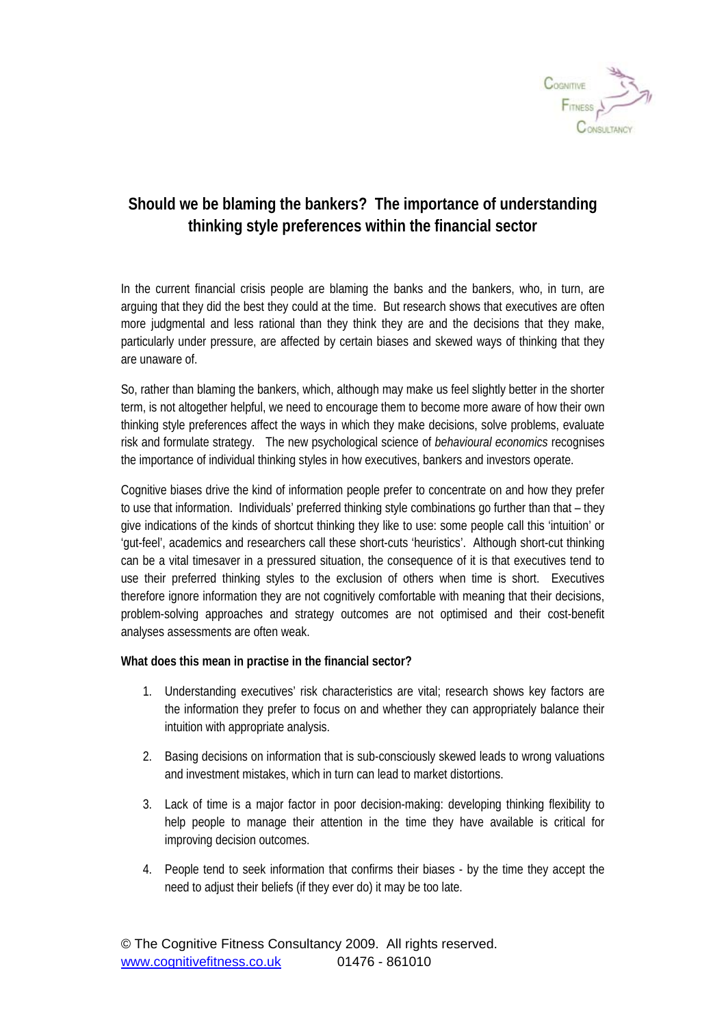

## **Should we be blaming the bankers? The importance of understanding thinking style preferences within the financial sector**

In the current financial crisis people are blaming the banks and the bankers, who, in turn, are arguing that they did the best they could at the time. But research shows that executives are often more judgmental and less rational than they think they are and the decisions that they make, particularly under pressure, are affected by certain biases and skewed ways of thinking that they are unaware of.

So, rather than blaming the bankers, which, although may make us feel slightly better in the shorter term, is not altogether helpful, we need to encourage them to become more aware of how their own thinking style preferences affect the ways in which they make decisions, solve problems, evaluate risk and formulate strategy. The new psychological science of *behavioural economics* recognises the importance of individual thinking styles in how executives, bankers and investors operate.

Cognitive biases drive the kind of information people prefer to concentrate on and how they prefer to use that information. Individuals' preferred thinking style combinations go further than that – they give indications of the kinds of shortcut thinking they like to use: some people call this 'intuition' or 'gut-feel', academics and researchers call these short-cuts 'heuristics'. Although short-cut thinking can be a vital timesaver in a pressured situation, the consequence of it is that executives tend to use their preferred thinking styles to the exclusion of others when time is short. Executives therefore ignore information they are not cognitively comfortable with meaning that their decisions, problem-solving approaches and strategy outcomes are not optimised and their cost-benefit analyses assessments are often weak.

## **What does this mean in practise in the financial sector?**

- 1. Understanding executives' risk characteristics are vital; research shows key factors are the information they prefer to focus on and whether they can appropriately balance their intuition with appropriate analysis.
- 2. Basing decisions on information that is sub-consciously skewed leads to wrong valuations and investment mistakes, which in turn can lead to market distortions.
- 3. Lack of time is a major factor in poor decision-making: developing thinking flexibility to help people to manage their attention in the time they have available is critical for improving decision outcomes.
- 4. People tend to seek information that confirms their biases by the time they accept the need to adjust their beliefs (if they ever do) it may be too late.

© The Cognitive Fitness Consultancy 2009. All rights reserved. www.cognitivefitness.co.uk 01476 - 861010